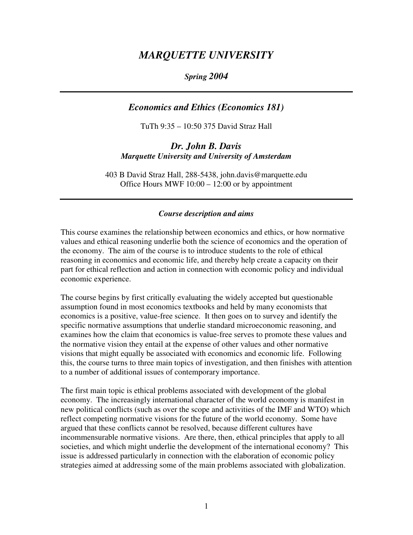# *MARQUETTE UNIVERSITY*

## *Spring 2004*

# *Economics and Ethics (Economics 181)*

TuTh 9:35 – 10:50 375 David Straz Hall

## *Dr. John B. Davis Marquette University and University of Amsterdam*

403 B David Straz Hall, 288-5438, john.davis@marquette.edu Office Hours MWF 10:00 – 12:00 or by appointment

#### *Course description and aims*

This course examines the relationship between economics and ethics, or how normative values and ethical reasoning underlie both the science of economics and the operation of the economy. The aim of the course is to introduce students to the role of ethical reasoning in economics and economic life, and thereby help create a capacity on their part for ethical reflection and action in connection with economic policy and individual economic experience.

The course begins by first critically evaluating the widely accepted but questionable assumption found in most economics textbooks and held by many economists that economics is a positive, value-free science. It then goes on to survey and identify the specific normative assumptions that underlie standard microeconomic reasoning, and examines how the claim that economics is value-free serves to promote these values and the normative vision they entail at the expense of other values and other normative visions that might equally be associated with economics and economic life. Following this, the course turns to three main topics of investigation, and then finishes with attention to a number of additional issues of contemporary importance.

The first main topic is ethical problems associated with development of the global economy. The increasingly international character of the world economy is manifest in new political conflicts (such as over the scope and activities of the IMF and WTO) which reflect competing normative visions for the future of the world economy. Some have argued that these conflicts cannot be resolved, because different cultures have incommensurable normative visions. Are there, then, ethical principles that apply to all societies, and which might underlie the development of the international economy? This issue is addressed particularly in connection with the elaboration of economic policy strategies aimed at addressing some of the main problems associated with globalization.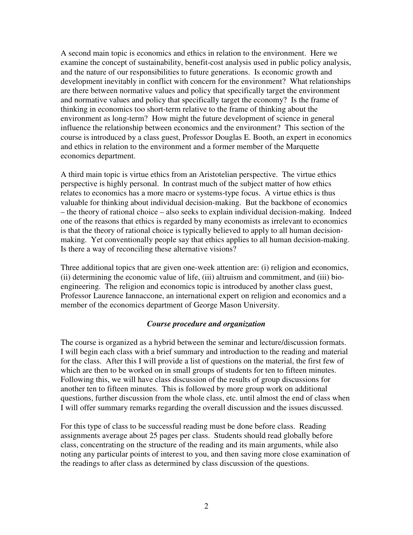A second main topic is economics and ethics in relation to the environment. Here we examine the concept of sustainability, benefit-cost analysis used in public policy analysis, and the nature of our responsibilities to future generations. Is economic growth and development inevitably in conflict with concern for the environment? What relationships are there between normative values and policy that specifically target the environment and normative values and policy that specifically target the economy? Is the frame of thinking in economics too short-term relative to the frame of thinking about the environment as long-term? How might the future development of science in general influence the relationship between economics and the environment? This section of the course is introduced by a class guest, Professor Douglas E. Booth, an expert in economics and ethics in relation to the environment and a former member of the Marquette economics department.

A third main topic is virtue ethics from an Aristotelian perspective. The virtue ethics perspective is highly personal. In contrast much of the subject matter of how ethics relates to economics has a more macro or systems-type focus. A virtue ethics is thus valuable for thinking about individual decision-making. But the backbone of economics – the theory of rational choice – also seeks to explain individual decision-making. Indeed one of the reasons that ethics is regarded by many economists as irrelevant to economics is that the theory of rational choice is typically believed to apply to all human decisionmaking. Yet conventionally people say that ethics applies to all human decision-making. Is there a way of reconciling these alternative visions?

Three additional topics that are given one-week attention are: (i) religion and economics, (ii) determining the economic value of life, (iii) altruism and commitment, and (iii) bioengineering. The religion and economics topic is introduced by another class guest, Professor Laurence Iannaccone, an international expert on religion and economics and a member of the economics department of George Mason University.

## *Course procedure and organization*

The course is organized as a hybrid between the seminar and lecture/discussion formats. I will begin each class with a brief summary and introduction to the reading and material for the class. After this I will provide a list of questions on the material, the first few of which are then to be worked on in small groups of students for ten to fifteen minutes. Following this, we will have class discussion of the results of group discussions for another ten to fifteen minutes. This is followed by more group work on additional questions, further discussion from the whole class, etc. until almost the end of class when I will offer summary remarks regarding the overall discussion and the issues discussed.

For this type of class to be successful reading must be done before class. Reading assignments average about 25 pages per class. Students should read globally before class, concentrating on the structure of the reading and its main arguments, while also noting any particular points of interest to you, and then saving more close examination of the readings to after class as determined by class discussion of the questions.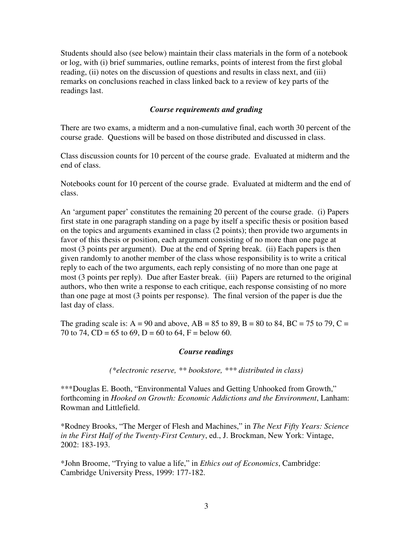Students should also (see below) maintain their class materials in the form of a notebook or log, with (i) brief summaries, outline remarks, points of interest from the first global reading, (ii) notes on the discussion of questions and results in class next, and (iii) remarks on conclusions reached in class linked back to a review of key parts of the readings last.

## *Course requirements and grading*

There are two exams, a midterm and a non-cumulative final, each worth 30 percent of the course grade. Questions will be based on those distributed and discussed in class.

Class discussion counts for 10 percent of the course grade. Evaluated at midterm and the end of class.

Notebooks count for 10 percent of the course grade. Evaluated at midterm and the end of class.

An 'argument paper' constitutes the remaining 20 percent of the course grade. (i) Papers first state in one paragraph standing on a page by itself a specific thesis or position based on the topics and arguments examined in class (2 points); then provide two arguments in favor of this thesis or position, each argument consisting of no more than one page at most (3 points per argument). Due at the end of Spring break. (ii) Each papers is then given randomly to another member of the class whose responsibility is to write a critical reply to each of the two arguments, each reply consisting of no more than one page at most (3 points per reply). Due after Easter break. (iii) Papers are returned to the original authors, who then write a response to each critique, each response consisting of no more than one page at most (3 points per response). The final version of the paper is due the last day of class.

The grading scale is:  $A = 90$  and above,  $AB = 85$  to 89,  $B = 80$  to 84,  $BC = 75$  to 79,  $C = 75$ 70 to 74, CD = 65 to 69, D = 60 to 64, F = below 60.

## *Course readings*

*(\*electronic reserve, \*\* bookstore, \*\*\* distributed in class)* 

\*\*\*Douglas E. Booth, "Environmental Values and Getting Unhooked from Growth," forthcoming in *Hooked on Growth: Economic Addictions and the Environment*, Lanham: Rowman and Littlefield.

\*Rodney Brooks, "The Merger of Flesh and Machines," in *The Next Fifty Years: Science in the First Half of the Twenty-First Century*, ed., J. Brockman, New York: Vintage, 2002: 183-193.

\*John Broome, "Trying to value a life," in *Ethics out of Economics*, Cambridge: Cambridge University Press, 1999: 177-182.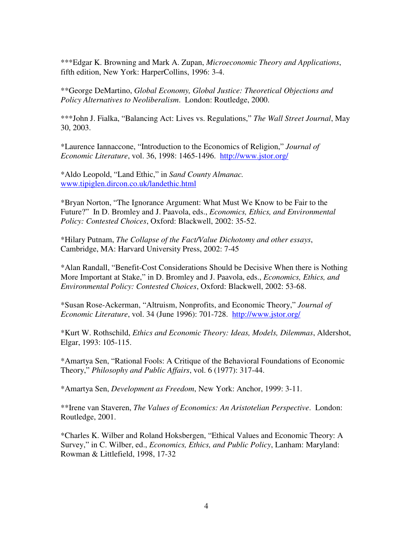\*\*\*Edgar K. Browning and Mark A. Zupan, *Microeconomic Theory and Applications*, fifth edition, New York: HarperCollins, 1996: 3-4.

\*\*George DeMartino, *Global Economy, Global Justice: Theoretical Objections and Policy Alternatives to Neoliberalism*. London: Routledge, 2000.

\*\*\*John J. Fialka, "Balancing Act: Lives vs. Regulations," *The Wall Street Journal*, May 30, 2003.

\*Laurence Iannaccone, "Introduction to the Economics of Religion," *Journal of Economic Literature*, vol. 36, 1998: 1465-1496. http://www.jstor.org/

\*Aldo Leopold, "Land Ethic," in *Sand County Almanac.*  www.tipiglen.dircon.co.uk/landethic.html

\*Bryan Norton, "The Ignorance Argument: What Must We Know to be Fair to the Future?" In D. Bromley and J. Paavola, eds., *Economics, Ethics, and Environmental Policy: Contested Choices*, Oxford: Blackwell, 2002: 35-52.

\*Hilary Putnam, *The Collapse of the Fact/Value Dichotomy and other essays*, Cambridge, MA: Harvard University Press, 2002: 7-45

\*Alan Randall, "Benefit-Cost Considerations Should be Decisive When there is Nothing More Important at Stake," in D. Bromley and J. Paavola, eds., *Economics, Ethics, and Environmental Policy: Contested Choices*, Oxford: Blackwell, 2002: 53-68.

\*Susan Rose-Ackerman, "Altruism, Nonprofits, and Economic Theory," *Journal of Economic Literature*, vol. 34 (June 1996): 701-728. http://www.jstor.org/

\*Kurt W. Rothschild, *Ethics and Economic Theory: Ideas, Models, Dilemmas*, Aldershot, Elgar, 1993: 105-115.

\*Amartya Sen, "Rational Fools: A Critique of the Behavioral Foundations of Economic Theory," *Philosophy and Public Affairs*, vol. 6 (1977): 317-44.

\*Amartya Sen, *Development as Freedom*, New York: Anchor, 1999: 3-11.

\*\*Irene van Staveren, *The Values of Economics: An Aristotelian Perspective*. London: Routledge, 2001.

\*Charles K. Wilber and Roland Hoksbergen, "Ethical Values and Economic Theory: A Survey," in C. Wilber, ed., *Economics, Ethics, and Public Policy*, Lanham: Maryland: Rowman & Littlefield, 1998, 17-32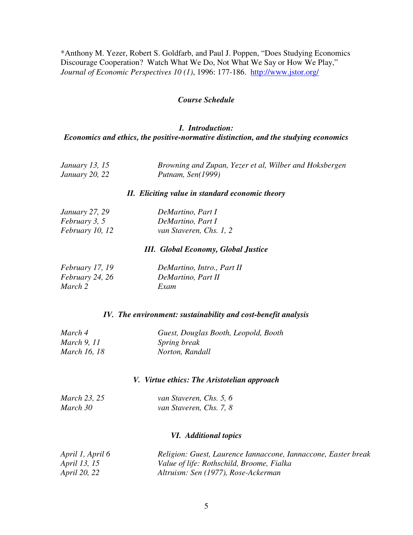\*Anthony M. Yezer, Robert S. Goldfarb, and Paul J. Poppen, "Does Studying Economics Discourage Cooperation? Watch What We Do, Not What We Say or How We Play," *Journal of Economic Perspectives 10 (1)*, 1996: 177-186. http://www.jstor.org/

### *Course Schedule*

## *I. Introduction: Economics and ethics, the positive-normative distinction, and the studying economics*

| January 13, 15        | Browning and Zupan, Yezer et al, Wilber and Hoksbergen |
|-----------------------|--------------------------------------------------------|
| <i>January 20, 22</i> | Putnam, Sen(1999)                                      |

#### *II. Eliciting value in standard economic theory*

| <i>January</i> 27, 29  | DeMartino, Part I       |
|------------------------|-------------------------|
| <i>February 3, 5</i>   | DeMartino, Part I       |
| <i>February 10, 12</i> | van Staveren, Chs. 1, 2 |

## *III. Global Economy, Global Justice*

| February 17, 19 | DeMartino, Intro., Part II |
|-----------------|----------------------------|
| February 24, 26 | DeMartino, Part II         |
| March 2         | Exam                       |

#### *IV. The environment: sustainability and cost-benefit analysis*

| March 4             | Guest, Douglas Booth, Leopold, Booth |
|---------------------|--------------------------------------|
| <i>March</i> 9, 11  | <i>Spring break</i>                  |
| <i>March 16, 18</i> | Norton, Randall                      |

#### *V. Virtue ethics: The Aristotelian approach*

| March 23, 25 | van Staveren, Chs. 5, 6 |
|--------------|-------------------------|
| March 30     | van Staveren, Chs. 7, 8 |

### *VI. Additional topics*

| April 1, April 6    | Religion: Guest, Laurence Iannaccone, Iannaccone, Easter break |
|---------------------|----------------------------------------------------------------|
| <i>April 13, 15</i> | Value of life: Rothschild, Broome, Fialka                      |
| <i>April 20, 22</i> | Altruism: Sen (1977), Rose-Ackerman                            |